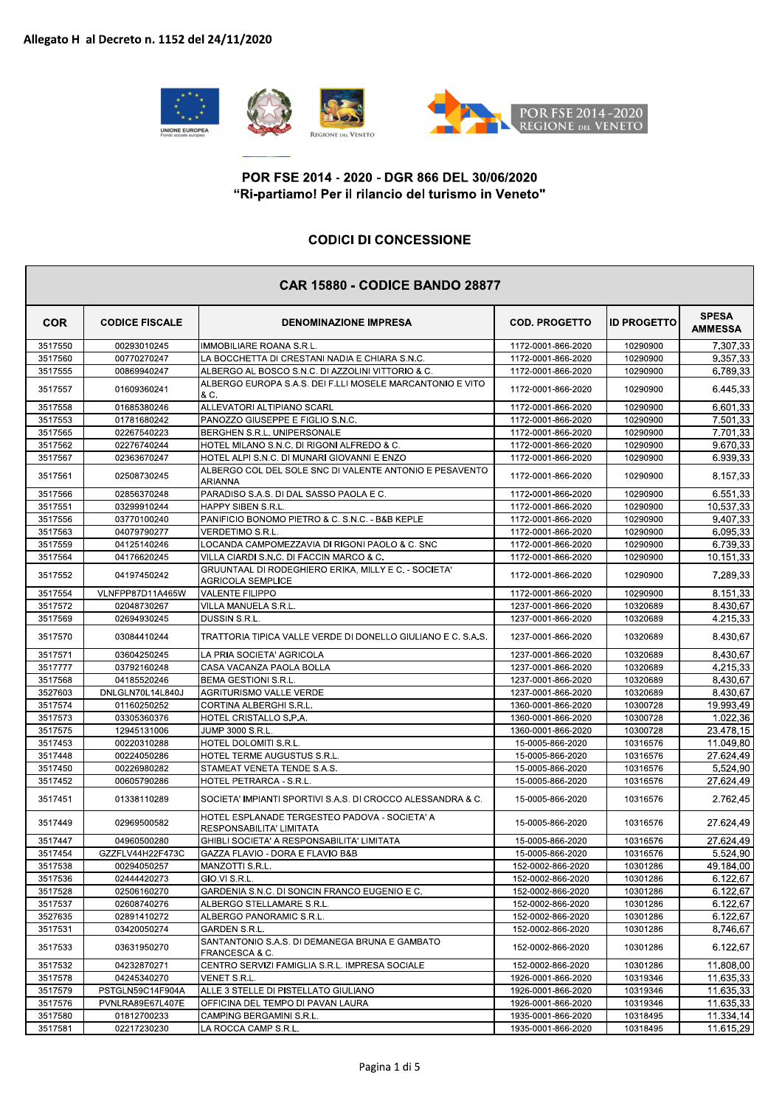

## POR FSE 2014 - 2020 - DGR 866 DEL 30/06/2020<br>"Ri-partiamo! Per il rilancio del turismo in Veneto"<br>CODICI DI CONCESSIONE<br>CAR 15880 - CODICF BANDO 28877

## **CODICI DI CONCESSIONE**

| 3517550<br>00293010245<br><b>IMMOBILIARE ROANA S.R.L.</b><br>1172-0001-866-2020<br>10290900<br>3517560<br>00770270247<br>LA BOCCHETTA DI CRESTANI NADIA E CHIARA S.N.C.<br>1172-0001-866-2020<br>10290900<br>3517555<br>ALBERGO AL BOSCO S.N.C. DI AZZOLINI VITTORIO & C.<br>10290900<br>00869940247<br>1172-0001-866-2020<br>ALBERGO EUROPA S.A.S. DEI F.LLI MOSELE MARCANTONIO E VITO<br>3517557<br>01609360241<br>1172-0001-866-2020<br>10290900<br>& C.<br>3517558<br>01685380246<br>ALLEVATORI ALTIPIANO SCARL<br>1172-0001-866-2020<br>10290900<br>3517553<br>01781680242<br>PANOZZO GIUSEPPE E FIGLIO S.N.C.<br>1172-0001-866-2020<br>10290900<br>3517565<br>02267540223<br>BERGHEN S.R.L. UNIPERSONALE<br>1172-0001-866-2020<br>10290900<br>7.701,33<br>02276740244<br>HOTEL MILANO S.N.C. DI RIGONI ALFREDO & C.<br>9.670,33<br>3517562<br>1172-0001-866-2020<br>10290900<br>10290900<br>6.939,33<br>3517567<br>02363670247<br>HOTEL ALPI S.N.C. DI MUNARI GIOVANNI E ENZO<br>1172-0001-866-2020<br>ALBERGO COL DEL SOLE SNC DI VALENTE ANTONIO E PESAVENTO<br>02508730245<br>10290900<br>3517561<br>1172-0001-866-2020<br><b>ARIANNA</b><br>6.551,33<br>3517566<br>02856370248<br>PARADISO S.A.S. DI DAL SASSO PAOLA E C.<br>1172-0001-866-2020<br>10290900<br>3517551<br>03299910244<br><b>HAPPY SIBEN S.R.L.</b><br>1172-0001-866-2020<br>10290900<br>10.537,33<br>3517556<br>03770100240<br>PANIFICIO BONOMO PIETRO & C. S.N.C. - B&B KEPLE<br>1172-0001-866-2020<br>10290900<br>9.407,33<br>6.095,33<br>3517563<br>04079790277<br>VERDETIMO S.R.L.<br>1172-0001-866-2020<br>10290900<br>LOCANDA CAMPOMEZZAVIA DI RIGONI PAOLO & C. SNC<br>10290900<br>6.739,33<br>3517559<br>04125140246<br>1172-0001-866-2020<br>3517564<br>04176620245<br>VILLA CIARDI S.N.C. DI FACCIN MARCO & C.<br>10290900<br>10.151,33<br>1172-0001-866-2020<br>GRUUNTAAL DI RODEGHIERO ERIKA, MILLY E C. - SOCIETA'<br>3517552<br>04197450242<br>1172-0001-866-2020<br>10290900<br><b>AGRICOLA SEMPLICE</b><br>VLNFPP87D11A465W<br><b>VALENTE FILIPPO</b><br>10290900<br>8.151,33<br>3517554<br>1172-0001-866-2020<br>3517572<br>02048730267<br>10320689<br>VILLA MANUELA S.R.L.<br>1237-0001-866-2020<br>DUSSIN S.R.L.<br>3517569<br>02694930245<br>1237-0001-866-2020<br>10320689<br>3517570<br>03084410244<br>TRATTORIA TIPICA VALLE VERDE DI DONELLO GIULIANO E C. S.A.S.<br>1237-0001-866-2020<br>10320689<br>3517571<br>03604250245<br>LA PRIA SOCIETA' AGRICOLA<br>1237-0001-866-2020<br>10320689<br>3517777<br>03792160248<br>CASA VACANZA PAOLA BOLLA<br>1237-0001-866-2020<br>10320689<br>04185520246<br><b>BEMA GESTIONI S.R.L.</b><br>1237-0001-866-2020<br>10320689<br>3517568<br>3527603<br><b>AGRITURISMO VALLE VERDE</b><br>10320689<br>DNLGLN70L14L840J<br>1237-0001-866-2020<br>3517574<br>01160250252<br>CORTINA ALBERGHI S.R.L.<br>1360-0001-866-2020<br>10300728<br>10300728<br>3517573<br>03305360376<br>HOTEL CRISTALLO S.P.A.<br>1360-0001-866-2020<br>12945131006<br>JUMP 3000 S.R.L.<br>10300728<br>3517575<br>1360-0001-866-2020<br>3517453<br>00220310288<br>HOTEL DOLOMITI S.R.L.<br>15-0005-866-2020<br>10316576<br>3517448<br>HOTEL TERME AUGUSTUS S.R.L.<br>10316576<br>00224050286<br>15-0005-866-2020<br>5.524,90<br>3517450<br>00226980282<br>STAMEAT VENETA TENDE S.A.S.<br>15-0005-866-2020<br>10316576<br>3517452<br>00605790286<br>HOTEL PETRARCA - S.R.L.<br>15-0005-866-2020<br>10316576<br>27.624,49<br>3517451<br>01338110289<br>SOCIETA' IMPIANTI SPORTIVI S.A.S. DI CROCCO ALESSANDRA & C.<br>15-0005-866-2020<br>10316576<br>HOTEL ESPLANADE TERGESTEO PADOVA - SOCIETA' A<br>02969500582<br>3517449<br>15-0005-866-2020<br>10316576<br>RESPONSABILITA' LIMITATA<br>GHIBLI SOCIETA' A RESPONSABILITA' LIMITATA<br>27.624,49<br>10316576<br>3517447<br>04960500280<br>15-0005-866-2020<br>5.524,90<br>GZZFLV44H22F473C<br>GAZZA FLAVIO - DORA E FLAVIO B&B<br>15-0005-866-2020<br>3517454<br>10316576<br>3517538<br>00294050257<br>10301286<br>49.184,00<br>MANZOTTI S.R.L.<br>152-0002-866-2020<br>GIO.VI S.R.L.<br>6.122,67<br>3517536<br>02444420273<br>152-0002-866-2020<br>10301286<br>10301286<br>6.122,67<br>3517528<br>02506160270<br>GARDENIA S.N.C. DI SONCIN FRANCO EUGENIO E C.<br>152-0002-866-2020<br>3517537<br>10301286<br>6.122,67<br>02608740276<br>ALBERGO STELLAMARE S.R.L.<br>152-0002-866-2020<br>3527635<br>02891410272<br>ALBERGO PANORAMIC S.R.L.<br>152-0002-866-2020<br>10301286<br>6.122,67 | <b>COR</b> | <b>CODICE FISCALE</b> | <b>DENOMINAZIONE IMPRESA</b> | <b>COD. PROGETTO</b> | <b>ID PROGETTO</b> | <b>SPESA</b><br><b>AMMESSA</b> |
|------------------------------------------------------------------------------------------------------------------------------------------------------------------------------------------------------------------------------------------------------------------------------------------------------------------------------------------------------------------------------------------------------------------------------------------------------------------------------------------------------------------------------------------------------------------------------------------------------------------------------------------------------------------------------------------------------------------------------------------------------------------------------------------------------------------------------------------------------------------------------------------------------------------------------------------------------------------------------------------------------------------------------------------------------------------------------------------------------------------------------------------------------------------------------------------------------------------------------------------------------------------------------------------------------------------------------------------------------------------------------------------------------------------------------------------------------------------------------------------------------------------------------------------------------------------------------------------------------------------------------------------------------------------------------------------------------------------------------------------------------------------------------------------------------------------------------------------------------------------------------------------------------------------------------------------------------------------------------------------------------------------------------------------------------------------------------------------------------------------------------------------------------------------------------------------------------------------------------------------------------------------------------------------------------------------------------------------------------------------------------------------------------------------------------------------------------------------------------------------------------------------------------------------------------------------------------------------------------------------------------------------------------------------------------------------------------------------------------------------------------------------------------------------------------------------------------------------------------------------------------------------------------------------------------------------------------------------------------------------------------------------------------------------------------------------------------------------------------------------------------------------------------------------------------------------------------------------------------------------------------------------------------------------------------------------------------------------------------------------------------------------------------------------------------------------------------------------------------------------------------------------------------------------------------------------------------------------------------------------------------------------------------------------------------------------------------------------------------------------------------------------------------------------------------------------------------------------------------------------------------------------------------------------------------------------------------------------------------------------------------------------------------------------------------------------------------------------------------------------------------------------------------------------------------------------------------------------------------------------------------------------------------------------------------------------------------------------------------------------------------------------------------------------------------------------------------------|------------|-----------------------|------------------------------|----------------------|--------------------|--------------------------------|
|                                                                                                                                                                                                                                                                                                                                                                                                                                                                                                                                                                                                                                                                                                                                                                                                                                                                                                                                                                                                                                                                                                                                                                                                                                                                                                                                                                                                                                                                                                                                                                                                                                                                                                                                                                                                                                                                                                                                                                                                                                                                                                                                                                                                                                                                                                                                                                                                                                                                                                                                                                                                                                                                                                                                                                                                                                                                                                                                                                                                                                                                                                                                                                                                                                                                                                                                                                                                                                                                                                                                                                                                                                                                                                                                                                                                                                                                                                                                                                                                                                                                                                                                                                                                                                                                                                                                                                                                                                                            |            |                       |                              |                      |                    | 7.307.33                       |
|                                                                                                                                                                                                                                                                                                                                                                                                                                                                                                                                                                                                                                                                                                                                                                                                                                                                                                                                                                                                                                                                                                                                                                                                                                                                                                                                                                                                                                                                                                                                                                                                                                                                                                                                                                                                                                                                                                                                                                                                                                                                                                                                                                                                                                                                                                                                                                                                                                                                                                                                                                                                                                                                                                                                                                                                                                                                                                                                                                                                                                                                                                                                                                                                                                                                                                                                                                                                                                                                                                                                                                                                                                                                                                                                                                                                                                                                                                                                                                                                                                                                                                                                                                                                                                                                                                                                                                                                                                                            |            |                       |                              |                      |                    | 9.357,33                       |
|                                                                                                                                                                                                                                                                                                                                                                                                                                                                                                                                                                                                                                                                                                                                                                                                                                                                                                                                                                                                                                                                                                                                                                                                                                                                                                                                                                                                                                                                                                                                                                                                                                                                                                                                                                                                                                                                                                                                                                                                                                                                                                                                                                                                                                                                                                                                                                                                                                                                                                                                                                                                                                                                                                                                                                                                                                                                                                                                                                                                                                                                                                                                                                                                                                                                                                                                                                                                                                                                                                                                                                                                                                                                                                                                                                                                                                                                                                                                                                                                                                                                                                                                                                                                                                                                                                                                                                                                                                                            |            |                       |                              |                      |                    | 6.789,33                       |
|                                                                                                                                                                                                                                                                                                                                                                                                                                                                                                                                                                                                                                                                                                                                                                                                                                                                                                                                                                                                                                                                                                                                                                                                                                                                                                                                                                                                                                                                                                                                                                                                                                                                                                                                                                                                                                                                                                                                                                                                                                                                                                                                                                                                                                                                                                                                                                                                                                                                                                                                                                                                                                                                                                                                                                                                                                                                                                                                                                                                                                                                                                                                                                                                                                                                                                                                                                                                                                                                                                                                                                                                                                                                                                                                                                                                                                                                                                                                                                                                                                                                                                                                                                                                                                                                                                                                                                                                                                                            |            |                       |                              |                      |                    | 6.445,33                       |
|                                                                                                                                                                                                                                                                                                                                                                                                                                                                                                                                                                                                                                                                                                                                                                                                                                                                                                                                                                                                                                                                                                                                                                                                                                                                                                                                                                                                                                                                                                                                                                                                                                                                                                                                                                                                                                                                                                                                                                                                                                                                                                                                                                                                                                                                                                                                                                                                                                                                                                                                                                                                                                                                                                                                                                                                                                                                                                                                                                                                                                                                                                                                                                                                                                                                                                                                                                                                                                                                                                                                                                                                                                                                                                                                                                                                                                                                                                                                                                                                                                                                                                                                                                                                                                                                                                                                                                                                                                                            |            |                       |                              |                      |                    | 6.601,33                       |
|                                                                                                                                                                                                                                                                                                                                                                                                                                                                                                                                                                                                                                                                                                                                                                                                                                                                                                                                                                                                                                                                                                                                                                                                                                                                                                                                                                                                                                                                                                                                                                                                                                                                                                                                                                                                                                                                                                                                                                                                                                                                                                                                                                                                                                                                                                                                                                                                                                                                                                                                                                                                                                                                                                                                                                                                                                                                                                                                                                                                                                                                                                                                                                                                                                                                                                                                                                                                                                                                                                                                                                                                                                                                                                                                                                                                                                                                                                                                                                                                                                                                                                                                                                                                                                                                                                                                                                                                                                                            |            |                       |                              |                      |                    | 7.501,33                       |
|                                                                                                                                                                                                                                                                                                                                                                                                                                                                                                                                                                                                                                                                                                                                                                                                                                                                                                                                                                                                                                                                                                                                                                                                                                                                                                                                                                                                                                                                                                                                                                                                                                                                                                                                                                                                                                                                                                                                                                                                                                                                                                                                                                                                                                                                                                                                                                                                                                                                                                                                                                                                                                                                                                                                                                                                                                                                                                                                                                                                                                                                                                                                                                                                                                                                                                                                                                                                                                                                                                                                                                                                                                                                                                                                                                                                                                                                                                                                                                                                                                                                                                                                                                                                                                                                                                                                                                                                                                                            |            |                       |                              |                      |                    |                                |
|                                                                                                                                                                                                                                                                                                                                                                                                                                                                                                                                                                                                                                                                                                                                                                                                                                                                                                                                                                                                                                                                                                                                                                                                                                                                                                                                                                                                                                                                                                                                                                                                                                                                                                                                                                                                                                                                                                                                                                                                                                                                                                                                                                                                                                                                                                                                                                                                                                                                                                                                                                                                                                                                                                                                                                                                                                                                                                                                                                                                                                                                                                                                                                                                                                                                                                                                                                                                                                                                                                                                                                                                                                                                                                                                                                                                                                                                                                                                                                                                                                                                                                                                                                                                                                                                                                                                                                                                                                                            |            |                       |                              |                      |                    |                                |
|                                                                                                                                                                                                                                                                                                                                                                                                                                                                                                                                                                                                                                                                                                                                                                                                                                                                                                                                                                                                                                                                                                                                                                                                                                                                                                                                                                                                                                                                                                                                                                                                                                                                                                                                                                                                                                                                                                                                                                                                                                                                                                                                                                                                                                                                                                                                                                                                                                                                                                                                                                                                                                                                                                                                                                                                                                                                                                                                                                                                                                                                                                                                                                                                                                                                                                                                                                                                                                                                                                                                                                                                                                                                                                                                                                                                                                                                                                                                                                                                                                                                                                                                                                                                                                                                                                                                                                                                                                                            |            |                       |                              |                      |                    |                                |
|                                                                                                                                                                                                                                                                                                                                                                                                                                                                                                                                                                                                                                                                                                                                                                                                                                                                                                                                                                                                                                                                                                                                                                                                                                                                                                                                                                                                                                                                                                                                                                                                                                                                                                                                                                                                                                                                                                                                                                                                                                                                                                                                                                                                                                                                                                                                                                                                                                                                                                                                                                                                                                                                                                                                                                                                                                                                                                                                                                                                                                                                                                                                                                                                                                                                                                                                                                                                                                                                                                                                                                                                                                                                                                                                                                                                                                                                                                                                                                                                                                                                                                                                                                                                                                                                                                                                                                                                                                                            |            |                       |                              |                      |                    | 8.157,33                       |
|                                                                                                                                                                                                                                                                                                                                                                                                                                                                                                                                                                                                                                                                                                                                                                                                                                                                                                                                                                                                                                                                                                                                                                                                                                                                                                                                                                                                                                                                                                                                                                                                                                                                                                                                                                                                                                                                                                                                                                                                                                                                                                                                                                                                                                                                                                                                                                                                                                                                                                                                                                                                                                                                                                                                                                                                                                                                                                                                                                                                                                                                                                                                                                                                                                                                                                                                                                                                                                                                                                                                                                                                                                                                                                                                                                                                                                                                                                                                                                                                                                                                                                                                                                                                                                                                                                                                                                                                                                                            |            |                       |                              |                      |                    |                                |
|                                                                                                                                                                                                                                                                                                                                                                                                                                                                                                                                                                                                                                                                                                                                                                                                                                                                                                                                                                                                                                                                                                                                                                                                                                                                                                                                                                                                                                                                                                                                                                                                                                                                                                                                                                                                                                                                                                                                                                                                                                                                                                                                                                                                                                                                                                                                                                                                                                                                                                                                                                                                                                                                                                                                                                                                                                                                                                                                                                                                                                                                                                                                                                                                                                                                                                                                                                                                                                                                                                                                                                                                                                                                                                                                                                                                                                                                                                                                                                                                                                                                                                                                                                                                                                                                                                                                                                                                                                                            |            |                       |                              |                      |                    |                                |
|                                                                                                                                                                                                                                                                                                                                                                                                                                                                                                                                                                                                                                                                                                                                                                                                                                                                                                                                                                                                                                                                                                                                                                                                                                                                                                                                                                                                                                                                                                                                                                                                                                                                                                                                                                                                                                                                                                                                                                                                                                                                                                                                                                                                                                                                                                                                                                                                                                                                                                                                                                                                                                                                                                                                                                                                                                                                                                                                                                                                                                                                                                                                                                                                                                                                                                                                                                                                                                                                                                                                                                                                                                                                                                                                                                                                                                                                                                                                                                                                                                                                                                                                                                                                                                                                                                                                                                                                                                                            |            |                       |                              |                      |                    |                                |
|                                                                                                                                                                                                                                                                                                                                                                                                                                                                                                                                                                                                                                                                                                                                                                                                                                                                                                                                                                                                                                                                                                                                                                                                                                                                                                                                                                                                                                                                                                                                                                                                                                                                                                                                                                                                                                                                                                                                                                                                                                                                                                                                                                                                                                                                                                                                                                                                                                                                                                                                                                                                                                                                                                                                                                                                                                                                                                                                                                                                                                                                                                                                                                                                                                                                                                                                                                                                                                                                                                                                                                                                                                                                                                                                                                                                                                                                                                                                                                                                                                                                                                                                                                                                                                                                                                                                                                                                                                                            |            |                       |                              |                      |                    |                                |
|                                                                                                                                                                                                                                                                                                                                                                                                                                                                                                                                                                                                                                                                                                                                                                                                                                                                                                                                                                                                                                                                                                                                                                                                                                                                                                                                                                                                                                                                                                                                                                                                                                                                                                                                                                                                                                                                                                                                                                                                                                                                                                                                                                                                                                                                                                                                                                                                                                                                                                                                                                                                                                                                                                                                                                                                                                                                                                                                                                                                                                                                                                                                                                                                                                                                                                                                                                                                                                                                                                                                                                                                                                                                                                                                                                                                                                                                                                                                                                                                                                                                                                                                                                                                                                                                                                                                                                                                                                                            |            |                       |                              |                      |                    |                                |
|                                                                                                                                                                                                                                                                                                                                                                                                                                                                                                                                                                                                                                                                                                                                                                                                                                                                                                                                                                                                                                                                                                                                                                                                                                                                                                                                                                                                                                                                                                                                                                                                                                                                                                                                                                                                                                                                                                                                                                                                                                                                                                                                                                                                                                                                                                                                                                                                                                                                                                                                                                                                                                                                                                                                                                                                                                                                                                                                                                                                                                                                                                                                                                                                                                                                                                                                                                                                                                                                                                                                                                                                                                                                                                                                                                                                                                                                                                                                                                                                                                                                                                                                                                                                                                                                                                                                                                                                                                                            |            |                       |                              |                      |                    | 7.289,33                       |
|                                                                                                                                                                                                                                                                                                                                                                                                                                                                                                                                                                                                                                                                                                                                                                                                                                                                                                                                                                                                                                                                                                                                                                                                                                                                                                                                                                                                                                                                                                                                                                                                                                                                                                                                                                                                                                                                                                                                                                                                                                                                                                                                                                                                                                                                                                                                                                                                                                                                                                                                                                                                                                                                                                                                                                                                                                                                                                                                                                                                                                                                                                                                                                                                                                                                                                                                                                                                                                                                                                                                                                                                                                                                                                                                                                                                                                                                                                                                                                                                                                                                                                                                                                                                                                                                                                                                                                                                                                                            |            |                       |                              |                      |                    |                                |
|                                                                                                                                                                                                                                                                                                                                                                                                                                                                                                                                                                                                                                                                                                                                                                                                                                                                                                                                                                                                                                                                                                                                                                                                                                                                                                                                                                                                                                                                                                                                                                                                                                                                                                                                                                                                                                                                                                                                                                                                                                                                                                                                                                                                                                                                                                                                                                                                                                                                                                                                                                                                                                                                                                                                                                                                                                                                                                                                                                                                                                                                                                                                                                                                                                                                                                                                                                                                                                                                                                                                                                                                                                                                                                                                                                                                                                                                                                                                                                                                                                                                                                                                                                                                                                                                                                                                                                                                                                                            |            |                       |                              |                      |                    | 8.430,67                       |
|                                                                                                                                                                                                                                                                                                                                                                                                                                                                                                                                                                                                                                                                                                                                                                                                                                                                                                                                                                                                                                                                                                                                                                                                                                                                                                                                                                                                                                                                                                                                                                                                                                                                                                                                                                                                                                                                                                                                                                                                                                                                                                                                                                                                                                                                                                                                                                                                                                                                                                                                                                                                                                                                                                                                                                                                                                                                                                                                                                                                                                                                                                                                                                                                                                                                                                                                                                                                                                                                                                                                                                                                                                                                                                                                                                                                                                                                                                                                                                                                                                                                                                                                                                                                                                                                                                                                                                                                                                                            |            |                       |                              |                      |                    | 4.215,33                       |
|                                                                                                                                                                                                                                                                                                                                                                                                                                                                                                                                                                                                                                                                                                                                                                                                                                                                                                                                                                                                                                                                                                                                                                                                                                                                                                                                                                                                                                                                                                                                                                                                                                                                                                                                                                                                                                                                                                                                                                                                                                                                                                                                                                                                                                                                                                                                                                                                                                                                                                                                                                                                                                                                                                                                                                                                                                                                                                                                                                                                                                                                                                                                                                                                                                                                                                                                                                                                                                                                                                                                                                                                                                                                                                                                                                                                                                                                                                                                                                                                                                                                                                                                                                                                                                                                                                                                                                                                                                                            |            |                       |                              |                      |                    | 8.430,67                       |
|                                                                                                                                                                                                                                                                                                                                                                                                                                                                                                                                                                                                                                                                                                                                                                                                                                                                                                                                                                                                                                                                                                                                                                                                                                                                                                                                                                                                                                                                                                                                                                                                                                                                                                                                                                                                                                                                                                                                                                                                                                                                                                                                                                                                                                                                                                                                                                                                                                                                                                                                                                                                                                                                                                                                                                                                                                                                                                                                                                                                                                                                                                                                                                                                                                                                                                                                                                                                                                                                                                                                                                                                                                                                                                                                                                                                                                                                                                                                                                                                                                                                                                                                                                                                                                                                                                                                                                                                                                                            |            |                       |                              |                      |                    | 8.430,67                       |
|                                                                                                                                                                                                                                                                                                                                                                                                                                                                                                                                                                                                                                                                                                                                                                                                                                                                                                                                                                                                                                                                                                                                                                                                                                                                                                                                                                                                                                                                                                                                                                                                                                                                                                                                                                                                                                                                                                                                                                                                                                                                                                                                                                                                                                                                                                                                                                                                                                                                                                                                                                                                                                                                                                                                                                                                                                                                                                                                                                                                                                                                                                                                                                                                                                                                                                                                                                                                                                                                                                                                                                                                                                                                                                                                                                                                                                                                                                                                                                                                                                                                                                                                                                                                                                                                                                                                                                                                                                                            |            |                       |                              |                      |                    | 4.215,33                       |
|                                                                                                                                                                                                                                                                                                                                                                                                                                                                                                                                                                                                                                                                                                                                                                                                                                                                                                                                                                                                                                                                                                                                                                                                                                                                                                                                                                                                                                                                                                                                                                                                                                                                                                                                                                                                                                                                                                                                                                                                                                                                                                                                                                                                                                                                                                                                                                                                                                                                                                                                                                                                                                                                                                                                                                                                                                                                                                                                                                                                                                                                                                                                                                                                                                                                                                                                                                                                                                                                                                                                                                                                                                                                                                                                                                                                                                                                                                                                                                                                                                                                                                                                                                                                                                                                                                                                                                                                                                                            |            |                       |                              |                      |                    | 8.430,67                       |
|                                                                                                                                                                                                                                                                                                                                                                                                                                                                                                                                                                                                                                                                                                                                                                                                                                                                                                                                                                                                                                                                                                                                                                                                                                                                                                                                                                                                                                                                                                                                                                                                                                                                                                                                                                                                                                                                                                                                                                                                                                                                                                                                                                                                                                                                                                                                                                                                                                                                                                                                                                                                                                                                                                                                                                                                                                                                                                                                                                                                                                                                                                                                                                                                                                                                                                                                                                                                                                                                                                                                                                                                                                                                                                                                                                                                                                                                                                                                                                                                                                                                                                                                                                                                                                                                                                                                                                                                                                                            |            |                       |                              |                      |                    | 8.430,67                       |
|                                                                                                                                                                                                                                                                                                                                                                                                                                                                                                                                                                                                                                                                                                                                                                                                                                                                                                                                                                                                                                                                                                                                                                                                                                                                                                                                                                                                                                                                                                                                                                                                                                                                                                                                                                                                                                                                                                                                                                                                                                                                                                                                                                                                                                                                                                                                                                                                                                                                                                                                                                                                                                                                                                                                                                                                                                                                                                                                                                                                                                                                                                                                                                                                                                                                                                                                                                                                                                                                                                                                                                                                                                                                                                                                                                                                                                                                                                                                                                                                                                                                                                                                                                                                                                                                                                                                                                                                                                                            |            |                       |                              |                      |                    | 19.993,49                      |
|                                                                                                                                                                                                                                                                                                                                                                                                                                                                                                                                                                                                                                                                                                                                                                                                                                                                                                                                                                                                                                                                                                                                                                                                                                                                                                                                                                                                                                                                                                                                                                                                                                                                                                                                                                                                                                                                                                                                                                                                                                                                                                                                                                                                                                                                                                                                                                                                                                                                                                                                                                                                                                                                                                                                                                                                                                                                                                                                                                                                                                                                                                                                                                                                                                                                                                                                                                                                                                                                                                                                                                                                                                                                                                                                                                                                                                                                                                                                                                                                                                                                                                                                                                                                                                                                                                                                                                                                                                                            |            |                       |                              |                      |                    | 1.022,36                       |
|                                                                                                                                                                                                                                                                                                                                                                                                                                                                                                                                                                                                                                                                                                                                                                                                                                                                                                                                                                                                                                                                                                                                                                                                                                                                                                                                                                                                                                                                                                                                                                                                                                                                                                                                                                                                                                                                                                                                                                                                                                                                                                                                                                                                                                                                                                                                                                                                                                                                                                                                                                                                                                                                                                                                                                                                                                                                                                                                                                                                                                                                                                                                                                                                                                                                                                                                                                                                                                                                                                                                                                                                                                                                                                                                                                                                                                                                                                                                                                                                                                                                                                                                                                                                                                                                                                                                                                                                                                                            |            |                       |                              |                      |                    | 23.478,15                      |
|                                                                                                                                                                                                                                                                                                                                                                                                                                                                                                                                                                                                                                                                                                                                                                                                                                                                                                                                                                                                                                                                                                                                                                                                                                                                                                                                                                                                                                                                                                                                                                                                                                                                                                                                                                                                                                                                                                                                                                                                                                                                                                                                                                                                                                                                                                                                                                                                                                                                                                                                                                                                                                                                                                                                                                                                                                                                                                                                                                                                                                                                                                                                                                                                                                                                                                                                                                                                                                                                                                                                                                                                                                                                                                                                                                                                                                                                                                                                                                                                                                                                                                                                                                                                                                                                                                                                                                                                                                                            |            |                       |                              |                      |                    | 11.049,80                      |
|                                                                                                                                                                                                                                                                                                                                                                                                                                                                                                                                                                                                                                                                                                                                                                                                                                                                                                                                                                                                                                                                                                                                                                                                                                                                                                                                                                                                                                                                                                                                                                                                                                                                                                                                                                                                                                                                                                                                                                                                                                                                                                                                                                                                                                                                                                                                                                                                                                                                                                                                                                                                                                                                                                                                                                                                                                                                                                                                                                                                                                                                                                                                                                                                                                                                                                                                                                                                                                                                                                                                                                                                                                                                                                                                                                                                                                                                                                                                                                                                                                                                                                                                                                                                                                                                                                                                                                                                                                                            |            |                       |                              |                      |                    | 27.624,49                      |
|                                                                                                                                                                                                                                                                                                                                                                                                                                                                                                                                                                                                                                                                                                                                                                                                                                                                                                                                                                                                                                                                                                                                                                                                                                                                                                                                                                                                                                                                                                                                                                                                                                                                                                                                                                                                                                                                                                                                                                                                                                                                                                                                                                                                                                                                                                                                                                                                                                                                                                                                                                                                                                                                                                                                                                                                                                                                                                                                                                                                                                                                                                                                                                                                                                                                                                                                                                                                                                                                                                                                                                                                                                                                                                                                                                                                                                                                                                                                                                                                                                                                                                                                                                                                                                                                                                                                                                                                                                                            |            |                       |                              |                      |                    |                                |
|                                                                                                                                                                                                                                                                                                                                                                                                                                                                                                                                                                                                                                                                                                                                                                                                                                                                                                                                                                                                                                                                                                                                                                                                                                                                                                                                                                                                                                                                                                                                                                                                                                                                                                                                                                                                                                                                                                                                                                                                                                                                                                                                                                                                                                                                                                                                                                                                                                                                                                                                                                                                                                                                                                                                                                                                                                                                                                                                                                                                                                                                                                                                                                                                                                                                                                                                                                                                                                                                                                                                                                                                                                                                                                                                                                                                                                                                                                                                                                                                                                                                                                                                                                                                                                                                                                                                                                                                                                                            |            |                       |                              |                      |                    |                                |
|                                                                                                                                                                                                                                                                                                                                                                                                                                                                                                                                                                                                                                                                                                                                                                                                                                                                                                                                                                                                                                                                                                                                                                                                                                                                                                                                                                                                                                                                                                                                                                                                                                                                                                                                                                                                                                                                                                                                                                                                                                                                                                                                                                                                                                                                                                                                                                                                                                                                                                                                                                                                                                                                                                                                                                                                                                                                                                                                                                                                                                                                                                                                                                                                                                                                                                                                                                                                                                                                                                                                                                                                                                                                                                                                                                                                                                                                                                                                                                                                                                                                                                                                                                                                                                                                                                                                                                                                                                                            |            |                       |                              |                      |                    | 2.762,45                       |
|                                                                                                                                                                                                                                                                                                                                                                                                                                                                                                                                                                                                                                                                                                                                                                                                                                                                                                                                                                                                                                                                                                                                                                                                                                                                                                                                                                                                                                                                                                                                                                                                                                                                                                                                                                                                                                                                                                                                                                                                                                                                                                                                                                                                                                                                                                                                                                                                                                                                                                                                                                                                                                                                                                                                                                                                                                                                                                                                                                                                                                                                                                                                                                                                                                                                                                                                                                                                                                                                                                                                                                                                                                                                                                                                                                                                                                                                                                                                                                                                                                                                                                                                                                                                                                                                                                                                                                                                                                                            |            |                       |                              |                      |                    | 27.624,49                      |
|                                                                                                                                                                                                                                                                                                                                                                                                                                                                                                                                                                                                                                                                                                                                                                                                                                                                                                                                                                                                                                                                                                                                                                                                                                                                                                                                                                                                                                                                                                                                                                                                                                                                                                                                                                                                                                                                                                                                                                                                                                                                                                                                                                                                                                                                                                                                                                                                                                                                                                                                                                                                                                                                                                                                                                                                                                                                                                                                                                                                                                                                                                                                                                                                                                                                                                                                                                                                                                                                                                                                                                                                                                                                                                                                                                                                                                                                                                                                                                                                                                                                                                                                                                                                                                                                                                                                                                                                                                                            |            |                       |                              |                      |                    |                                |
|                                                                                                                                                                                                                                                                                                                                                                                                                                                                                                                                                                                                                                                                                                                                                                                                                                                                                                                                                                                                                                                                                                                                                                                                                                                                                                                                                                                                                                                                                                                                                                                                                                                                                                                                                                                                                                                                                                                                                                                                                                                                                                                                                                                                                                                                                                                                                                                                                                                                                                                                                                                                                                                                                                                                                                                                                                                                                                                                                                                                                                                                                                                                                                                                                                                                                                                                                                                                                                                                                                                                                                                                                                                                                                                                                                                                                                                                                                                                                                                                                                                                                                                                                                                                                                                                                                                                                                                                                                                            |            |                       |                              |                      |                    |                                |
|                                                                                                                                                                                                                                                                                                                                                                                                                                                                                                                                                                                                                                                                                                                                                                                                                                                                                                                                                                                                                                                                                                                                                                                                                                                                                                                                                                                                                                                                                                                                                                                                                                                                                                                                                                                                                                                                                                                                                                                                                                                                                                                                                                                                                                                                                                                                                                                                                                                                                                                                                                                                                                                                                                                                                                                                                                                                                                                                                                                                                                                                                                                                                                                                                                                                                                                                                                                                                                                                                                                                                                                                                                                                                                                                                                                                                                                                                                                                                                                                                                                                                                                                                                                                                                                                                                                                                                                                                                                            |            |                       |                              |                      |                    |                                |
|                                                                                                                                                                                                                                                                                                                                                                                                                                                                                                                                                                                                                                                                                                                                                                                                                                                                                                                                                                                                                                                                                                                                                                                                                                                                                                                                                                                                                                                                                                                                                                                                                                                                                                                                                                                                                                                                                                                                                                                                                                                                                                                                                                                                                                                                                                                                                                                                                                                                                                                                                                                                                                                                                                                                                                                                                                                                                                                                                                                                                                                                                                                                                                                                                                                                                                                                                                                                                                                                                                                                                                                                                                                                                                                                                                                                                                                                                                                                                                                                                                                                                                                                                                                                                                                                                                                                                                                                                                                            |            |                       |                              |                      |                    |                                |
|                                                                                                                                                                                                                                                                                                                                                                                                                                                                                                                                                                                                                                                                                                                                                                                                                                                                                                                                                                                                                                                                                                                                                                                                                                                                                                                                                                                                                                                                                                                                                                                                                                                                                                                                                                                                                                                                                                                                                                                                                                                                                                                                                                                                                                                                                                                                                                                                                                                                                                                                                                                                                                                                                                                                                                                                                                                                                                                                                                                                                                                                                                                                                                                                                                                                                                                                                                                                                                                                                                                                                                                                                                                                                                                                                                                                                                                                                                                                                                                                                                                                                                                                                                                                                                                                                                                                                                                                                                                            |            |                       |                              |                      |                    |                                |
|                                                                                                                                                                                                                                                                                                                                                                                                                                                                                                                                                                                                                                                                                                                                                                                                                                                                                                                                                                                                                                                                                                                                                                                                                                                                                                                                                                                                                                                                                                                                                                                                                                                                                                                                                                                                                                                                                                                                                                                                                                                                                                                                                                                                                                                                                                                                                                                                                                                                                                                                                                                                                                                                                                                                                                                                                                                                                                                                                                                                                                                                                                                                                                                                                                                                                                                                                                                                                                                                                                                                                                                                                                                                                                                                                                                                                                                                                                                                                                                                                                                                                                                                                                                                                                                                                                                                                                                                                                                            |            |                       |                              |                      |                    |                                |
|                                                                                                                                                                                                                                                                                                                                                                                                                                                                                                                                                                                                                                                                                                                                                                                                                                                                                                                                                                                                                                                                                                                                                                                                                                                                                                                                                                                                                                                                                                                                                                                                                                                                                                                                                                                                                                                                                                                                                                                                                                                                                                                                                                                                                                                                                                                                                                                                                                                                                                                                                                                                                                                                                                                                                                                                                                                                                                                                                                                                                                                                                                                                                                                                                                                                                                                                                                                                                                                                                                                                                                                                                                                                                                                                                                                                                                                                                                                                                                                                                                                                                                                                                                                                                                                                                                                                                                                                                                                            | 3517531    | 03420050274           | <b>GARDEN S.R.L.</b>         | 152-0002-866-2020    | 10301286           | 8.746,67                       |
| SANTANTONIO S.A.S. DI DEMANEGA BRUNA E GAMBATO<br>3517533<br>03631950270<br>10301286<br>152-0002-866-2020<br>FRANCESCA & C.                                                                                                                                                                                                                                                                                                                                                                                                                                                                                                                                                                                                                                                                                                                                                                                                                                                                                                                                                                                                                                                                                                                                                                                                                                                                                                                                                                                                                                                                                                                                                                                                                                                                                                                                                                                                                                                                                                                                                                                                                                                                                                                                                                                                                                                                                                                                                                                                                                                                                                                                                                                                                                                                                                                                                                                                                                                                                                                                                                                                                                                                                                                                                                                                                                                                                                                                                                                                                                                                                                                                                                                                                                                                                                                                                                                                                                                                                                                                                                                                                                                                                                                                                                                                                                                                                                                                |            |                       |                              |                      |                    | 6.122,67                       |
| 3517532<br>04232870271<br>CENTRO SERVIZI FAMIGLIA S.R.L. IMPRESA SOCIALE<br>152-0002-866-2020<br>10301286                                                                                                                                                                                                                                                                                                                                                                                                                                                                                                                                                                                                                                                                                                                                                                                                                                                                                                                                                                                                                                                                                                                                                                                                                                                                                                                                                                                                                                                                                                                                                                                                                                                                                                                                                                                                                                                                                                                                                                                                                                                                                                                                                                                                                                                                                                                                                                                                                                                                                                                                                                                                                                                                                                                                                                                                                                                                                                                                                                                                                                                                                                                                                                                                                                                                                                                                                                                                                                                                                                                                                                                                                                                                                                                                                                                                                                                                                                                                                                                                                                                                                                                                                                                                                                                                                                                                                  |            |                       |                              |                      |                    | 11.808,00                      |
| 3517578<br>04245340270<br>VENET S.R.L.<br>10319346<br>1926-0001-866-2020                                                                                                                                                                                                                                                                                                                                                                                                                                                                                                                                                                                                                                                                                                                                                                                                                                                                                                                                                                                                                                                                                                                                                                                                                                                                                                                                                                                                                                                                                                                                                                                                                                                                                                                                                                                                                                                                                                                                                                                                                                                                                                                                                                                                                                                                                                                                                                                                                                                                                                                                                                                                                                                                                                                                                                                                                                                                                                                                                                                                                                                                                                                                                                                                                                                                                                                                                                                                                                                                                                                                                                                                                                                                                                                                                                                                                                                                                                                                                                                                                                                                                                                                                                                                                                                                                                                                                                                   |            |                       |                              |                      |                    | 11.635,33                      |
| 3517579<br>PSTGLN59C14F904A<br>ALLE 3 STELLE DI PISTELLATO GIULIANO<br>10319346<br>1926-0001-866-2020                                                                                                                                                                                                                                                                                                                                                                                                                                                                                                                                                                                                                                                                                                                                                                                                                                                                                                                                                                                                                                                                                                                                                                                                                                                                                                                                                                                                                                                                                                                                                                                                                                                                                                                                                                                                                                                                                                                                                                                                                                                                                                                                                                                                                                                                                                                                                                                                                                                                                                                                                                                                                                                                                                                                                                                                                                                                                                                                                                                                                                                                                                                                                                                                                                                                                                                                                                                                                                                                                                                                                                                                                                                                                                                                                                                                                                                                                                                                                                                                                                                                                                                                                                                                                                                                                                                                                      |            |                       |                              |                      |                    | 11.635,33                      |
| 3517576<br>PVNLRA89E67L407E<br>10319346<br>OFFICINA DEL TEMPO DI PAVAN LAURA<br>1926-0001-866-2020                                                                                                                                                                                                                                                                                                                                                                                                                                                                                                                                                                                                                                                                                                                                                                                                                                                                                                                                                                                                                                                                                                                                                                                                                                                                                                                                                                                                                                                                                                                                                                                                                                                                                                                                                                                                                                                                                                                                                                                                                                                                                                                                                                                                                                                                                                                                                                                                                                                                                                                                                                                                                                                                                                                                                                                                                                                                                                                                                                                                                                                                                                                                                                                                                                                                                                                                                                                                                                                                                                                                                                                                                                                                                                                                                                                                                                                                                                                                                                                                                                                                                                                                                                                                                                                                                                                                                         |            |                       |                              |                      |                    | 11.635,33                      |
| 3517580<br>01812700233<br>10318495<br>CAMPING BERGAMINI S.R.L.<br>1935-0001-866-2020                                                                                                                                                                                                                                                                                                                                                                                                                                                                                                                                                                                                                                                                                                                                                                                                                                                                                                                                                                                                                                                                                                                                                                                                                                                                                                                                                                                                                                                                                                                                                                                                                                                                                                                                                                                                                                                                                                                                                                                                                                                                                                                                                                                                                                                                                                                                                                                                                                                                                                                                                                                                                                                                                                                                                                                                                                                                                                                                                                                                                                                                                                                                                                                                                                                                                                                                                                                                                                                                                                                                                                                                                                                                                                                                                                                                                                                                                                                                                                                                                                                                                                                                                                                                                                                                                                                                                                       |            |                       |                              |                      |                    | 11.334,14                      |
| 3517581<br>02217230230<br>LA ROCCA CAMP S.R.L.<br>1935-0001-866-2020<br>10318495                                                                                                                                                                                                                                                                                                                                                                                                                                                                                                                                                                                                                                                                                                                                                                                                                                                                                                                                                                                                                                                                                                                                                                                                                                                                                                                                                                                                                                                                                                                                                                                                                                                                                                                                                                                                                                                                                                                                                                                                                                                                                                                                                                                                                                                                                                                                                                                                                                                                                                                                                                                                                                                                                                                                                                                                                                                                                                                                                                                                                                                                                                                                                                                                                                                                                                                                                                                                                                                                                                                                                                                                                                                                                                                                                                                                                                                                                                                                                                                                                                                                                                                                                                                                                                                                                                                                                                           |            |                       |                              |                      |                    | 11.615,29                      |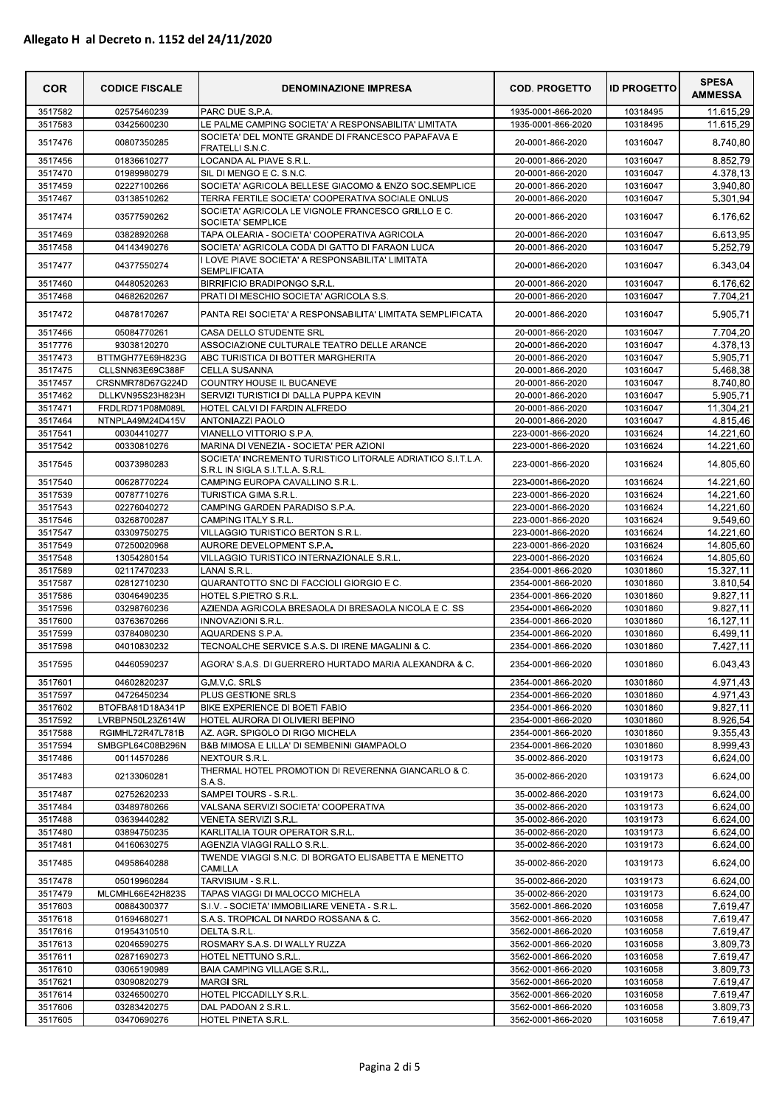| <b>COR</b>         | <b>CODICE FISCALE</b>                | <b>DENOMINAZIONE IMPRESA</b>                                                                           | <b>COD. PROGETTO</b>                     | <b>ID PROGETTO</b>   | <b>SPESA</b><br><b>AMMESSA</b>    |
|--------------------|--------------------------------------|--------------------------------------------------------------------------------------------------------|------------------------------------------|----------------------|-----------------------------------|
| 3517582            | 02575460239                          | PARC DUE S.P.A.                                                                                        | 1935-0001-866-2020                       | 10318495             | 11.615,29                         |
| 3517583            | 03425600230                          | LE PALME CAMPING SOCIETA' A RESPONSABILITA' LIMITATA                                                   | 1935-0001-866-2020                       | 10318495             | 11.615,29                         |
| 3517476            | 00807350285                          | SOCIETA' DEL MONTE GRANDE DI FRANCESCO PAPAFAVA E                                                      | 20-0001-866-2020                         | 10316047             | 8.740,80                          |
| 3517456            | 01836610277                          | <b>FRATELLI S.N.C.</b><br>LOCANDA AL PIAVE S.R.L                                                       | 20-0001-866-2020                         | 10316047             | 8.852.79                          |
| 3517470            | 01989980279                          | SIL DI MENGO E C. S.N.C.                                                                               | 20-0001-866-2020                         | 10316047             | 4.378.13                          |
| 3517459            | 02227100266                          | SOCIETA' AGRICOLA BELLESE GIACOMO & ENZO SOC.SEMPLICE                                                  | 20-0001-866-2020                         | 10316047             | 3.940,80                          |
| 3517467            | 03138510262                          | TERRA FERTILE SOCIETA' COOPERATIVA SOCIALE ONLUS                                                       | 20-0001-866-2020                         | 10316047             | 5.301,94                          |
| 3517474            | 03577590262                          | SOCIETA' AGRICOLA LE VIGNOLE FRANCESCO GRILLO E C.<br>SOCIETA' SEMPLICE                                | 20-0001-866-2020                         | 10316047             | 6.176,62                          |
| 3517469            | 03828920268                          | TAPA OLEARIA - SOCIETA' COOPERATIVA AGRICOLA                                                           | 20-0001-866-2020                         | 10316047             | 6.613,95                          |
| 3517458            | 04143490276                          | SOCIETA' AGRICOLA CODA DI GATTO DI FARAON LUCA                                                         | 20-0001-866-2020                         | 10316047             | 5.252,79                          |
| 3517477            | 04377550274                          | I LOVE PIAVE SOCIETA' A RESPONSABILITA' LIMITATA<br><b>SEMPLIFICATA</b>                                | 20-0001-866-2020                         | 10316047             | 6.343,04                          |
| 3517460            | 04480520263                          | <b>BIRRIFICIO BRADIPONGO S.R.L.</b>                                                                    | 20-0001-866-2020                         | 10316047             | 6.176,62                          |
| 3517468            | 04682620267                          | PRATI DI MESCHIO SOCIETA' AGRICOLA S.S.                                                                | 20-0001-866-2020                         | 10316047             | 7.704,21                          |
| 3517472            | 04878170267                          | PANTA REI SOCIETA' A RESPONSABILITA' LIMITATA SEMPLIFICATA                                             | 20-0001-866-2020                         | 10316047             | 5.905,71                          |
| 3517466            | 05084770261                          | CASA DELLO STUDENTE SRL                                                                                | 20-0001-866-2020                         | 10316047             | 7.704,20                          |
| 3517776            | 93038120270                          | ASSOCIAZIONE CULTURALE TEATRO DELLE ARANCE                                                             | 20-0001-866-2020                         | 10316047             | 4.378,13                          |
| 3517473            | BTTMGH77E69H823G                     | ABC TURISTICA DI BOTTER MARGHERITA                                                                     | 20-0001-866-2020                         | 10316047             | 5.905,71                          |
| 3517475<br>3517457 | CLLSNN63E69C388F<br>CRSNMR78D67G224D | <b>CELLA SUSANNA</b><br>COUNTRY HOUSE IL BUCANEVE                                                      | 20-0001-866-2020<br>20-0001-866-2020     | 10316047<br>10316047 | 5.468,38<br>8.740,80              |
| 3517462            | DLLKVN95S23H823H                     | SERVIZI TURISTICI DI DALLA PUPPA KEVIN                                                                 | 20-0001-866-2020                         | 10316047             | 5.905,71                          |
| 3517471            | FRDLRD71P08M089L                     | HOTEL CALVI DI FARDIN ALFREDO                                                                          | 20-0001-866-2020                         | 10316047             | 11.304,21                         |
| 3517464            | NTNPLA49M24D415V                     | <b>ANTONIAZZI PAOLO</b>                                                                                | 20-0001-866-2020                         | 10316047             | 4.815,46                          |
| 3517541            | 00304410277                          | VIANELLO VITTORIO S.P.A.                                                                               | 223-0001-866-2020                        | 10316624             | 14.221,60                         |
| 3517542            | 00330810276                          | MARINA DI VENEZIA - SOCIETA' PER AZIONI<br>SOCIETA' INCREMENTO TURISTICO LITORALE ADRIATICO S.I.T.L.A. | 223-0001-866-2020                        | 10316624             | 14.221,60                         |
| 3517545            | 00373980283                          | S.R.L IN SIGLA S.I.T.L.A. S.R.L.                                                                       | 223-0001-866-2020                        | 10316624             | 14.805,60                         |
| 3517540            | 00628770224                          | CAMPING EUROPA CAVALLINO S.R.L                                                                         | 223-0001-866-2020                        | 10316624             | 14.221,60                         |
| 3517539            | 00787710276                          | <b>TURISTICA GIMA S.R.L</b>                                                                            | 223-0001-866-2020                        | 10316624             | 14.221,60                         |
| 3517543<br>3517546 | 02276040272<br>03268700287           | CAMPING GARDEN PARADISO S.P.A.<br>CAMPING ITALY S.R.L                                                  | 223-0001-866-2020<br>223-0001-866-2020   | 10316624<br>10316624 | 14.221,60<br>9.549,60             |
| 3517547            | 03309750275                          | VILLAGGIO TURISTICO BERTON S.R.L.                                                                      | 223-0001-866-2020                        | 10316624             | 14.221,60                         |
| 3517549            | 07250020968                          | AURORE DEVELOPMENT S.P.A.                                                                              | 223-0001-866-2020                        | 10316624             | 14.805,60                         |
| 3517548            | 13054280154                          | VILLAGGIO TURISTICO INTERNAZIONALE S.R.L.                                                              | 223-0001-866-2020                        | 10316624             | 14.805,60                         |
| 3517589            | 02117470233                          | <b>LANAI S.R.L</b>                                                                                     | 2354-0001-866-2020                       | 10301860             | 15.327,11                         |
| 3517587            | 02812710230                          | QUARANTOTTO SNC DI FACCIOLI GIORGIO E C.                                                               | 2354-0001-866-2020                       | 10301860             | 3.810,54                          |
| 3517586<br>3517596 | 03046490235<br>03298760236           | HOTEL S.PIETRO S.R.L<br>AZIENDA AGRICOLA BRESAOLA DI BRESAOLA NICOLA E C. SS                           | 2354-0001-866-2020<br>2354-0001-866-2020 | 10301860<br>10301860 | 9.827,11<br>$\overline{9.827,11}$ |
| 3517600            | 03763670266                          | INNOVAZIONI S.R.L.                                                                                     | 2354-0001-866-2020                       | 10301860             | 16.127,11                         |
| 3517599            | 03784080230                          | AQUARDENS S.P.A.                                                                                       | 2354-0001-866-2020                       | 10301860             | 6.499,11                          |
| 3517598            | 04010830232                          | TECNOALCHE SERVICE S.A.S. DI IRENE MAGALINI & C.                                                       | 2354-0001-866-2020                       | 10301860             | 7.427,11                          |
| 3517595            | 04460590237                          | AGORA' S.A.S. DI GUERRERO HURTADO MARIA ALEXANDRA & C.                                                 | 2354-0001-866-2020                       | 10301860             | 6.043,43                          |
| 3517601            | 04602820237                          | G.M.V.C. SRLS                                                                                          | 2354-0001-866-2020                       | 10301860             | 4.971,43                          |
| 3517597            | 04726450234                          | PLUS GESTIONE SRLS                                                                                     | 2354-0001-866-2020                       | 10301860             | 4.971,43                          |
| 3517602<br>3517592 | BTOFBA81D18A341P<br>LVRBPN50L23Z614W | BIKE EXPERIENCE DI BOETI FABIO<br>HOTEL AURORA DI OLIVIERI BEPINO                                      | 2354-0001-866-2020<br>2354-0001-866-2020 | 10301860<br>10301860 | 9.827,11<br>8.926,54              |
| 3517588            | RGIMHL72R47L781B                     | AZ. AGR. SPIGOLO DI RIGO MICHELA                                                                       | 2354-0001-866-2020                       | 10301860             | 9.355,43                          |
| 3517594            | SMBGPL64C08B296N                     | B&B MIMOSA E LILLA' DI SEMBENINI GIAMPAOLO                                                             | 2354-0001-866-2020                       | 10301860             | 8.999,43                          |
| 3517486            | 00114570286                          | NEXTOUR S.R.L.                                                                                         | 35-0002-866-2020                         | 10319173             | 6.624,00                          |
| 3517483            | 02133060281                          | THERMAL HOTEL PROMOTION DI REVERENNA GIANCARLO & C.<br><b>S.A.S.</b>                                   | 35-0002-866-2020                         | 10319173             | 6.624,00                          |
| 3517487            | 02752620233                          | SAMPEI TOURS - S.R.L.                                                                                  | 35-0002-866-2020                         | 10319173             | 6.624,00                          |
| 3517484            | 03489780266                          | VALSANA SERVIZI SOCIETA' COOPERATIVA                                                                   | 35-0002-866-2020                         | 10319173             | 6.624,00                          |
| 3517488            | 03639440282                          | VENETA SERVIZI S.R.L.                                                                                  | 35-0002-866-2020                         | 10319173             | 6.624,00                          |
| 3517480            | 03894750235                          | KARLITALIA TOUR OPERATOR S.R.L.                                                                        | 35-0002-866-2020                         | 10319173             | 6.624,00                          |
| 3517481            | 04160630275                          | AGENZIA VIAGGI RALLO S.R.L.<br>TWENDE VIAGGI S.N.C. DI BORGATO ELISABETTA E MENETTO                    | 35-0002-866-2020                         | 10319173             | 6.624,00                          |
| 3517485            | 04958640288                          | CAMILLA                                                                                                | 35-0002-866-2020                         | 10319173             | 6.624,00                          |
| 3517478            | 05019960284                          | TARVISIUM - S.R.L.                                                                                     | 35-0002-866-2020                         | 10319173             | 6.624,00                          |
| 3517479<br>3517603 | MLCMHL66E42H823S<br>00884300377      | TAPAS VIAGGI DI MALOCCO MICHELA<br>S.I.V. - SOCIETA' IMMOBILIARE VENETA - S.R.L.                       | 35-0002-866-2020<br>3562-0001-866-2020   | 10319173<br>10316058 | 6.624,00<br>7.619,47              |
| 3517618            | 01694680271                          | S.A.S. TROPICAL DI NARDO ROSSANA & C.                                                                  | 3562-0001-866-2020                       | 10316058             | 7.619,47                          |
| 3517616            | 01954310510                          | DELTA S.R.L.                                                                                           | 3562-0001-866-2020                       | 10316058             | 7.619,47                          |
| 3517613            | 02046590275                          | ROSMARY S.A.S. DI WALLY RUZZA                                                                          | 3562-0001-866-2020                       | 10316058             | 3.809,73                          |
| 3517611            | 02871690273                          | HOTEL NETTUNO S.R.L.                                                                                   | 3562-0001-866-2020                       | 10316058             | 7.619,47                          |
| 3517610<br>3517621 | 03065190989<br>03090820279           | BAIA CAMPING VILLAGE S.R.L.<br><b>MARGI SRL</b>                                                        | 3562-0001-866-2020<br>3562-0001-866-2020 | 10316058<br>10316058 | 3.809,73<br>7.619,47              |
| 3517614            | 03246500270                          | HOTEL PICCADILLY S.R.L.                                                                                | 3562-0001-866-2020                       | 10316058             | 7.619,47                          |
| 3517606            | 03283420275                          | DAL PADOAN 2 S.R.L.                                                                                    | 3562-0001-866-2020                       | 10316058             | 3.809,73                          |
| 3517605            | 03470690276                          | HOTEL PINETA S.R.L.                                                                                    | 3562-0001-866-2020                       | 10316058             | 7.619,47                          |
|                    |                                      | Pagina 2 di 5                                                                                          |                                          |                      |                                   |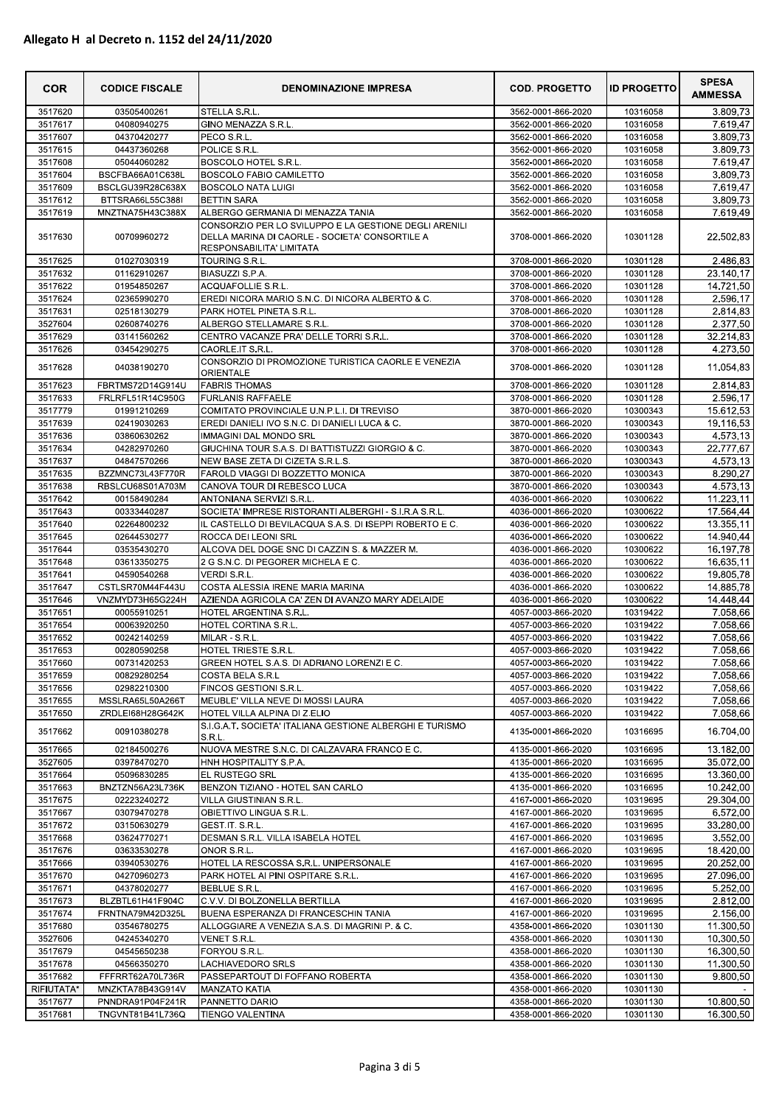| <b>COR</b>         | <b>CODICE FISCALE</b>                | <b>DENOMINAZIONE IMPRESA</b>                                               | <b>COD. PROGETTO</b>                     | <b>ID PROGETTO</b>   | <b>SPESA</b><br><b>AMMESSA</b> |
|--------------------|--------------------------------------|----------------------------------------------------------------------------|------------------------------------------|----------------------|--------------------------------|
| 3517620            | 03505400261                          | STELLA S.R.L                                                               | 3562-0001-866-2020                       | 10316058             | 3.809,73                       |
| 3517617            | 04080940275                          | GINO MENAZZA S.R.L.                                                        | 3562-0001-866-2020                       | 10316058             | 7.619,47                       |
| 3517607            | 04370420277                          | PECO S.R.L.                                                                | 3562-0001-866-2020                       | 10316058             | 3.809,73                       |
| 3517615            | 04437360268                          | POLICE S.R.L.                                                              | 3562-0001-866-2020                       | 10316058             | 3.809,73                       |
| 3517608            | 05044060282                          | BOSCOLO HOTEL S.R.L.                                                       | 3562-0001-866-2020                       | 10316058             | 7.619,47                       |
| 3517604<br>3517609 | BSCFBA66A01C638L<br>BSCLGU39R28C638X | <b>BOSCOLO FABIO CAMILETTO</b><br><b>BOSCOLO NATA LUIGI</b>                | 3562-0001-866-2020<br>3562-0001-866-2020 | 10316058<br>10316058 | 3.809,73                       |
| 3517612            | BTTSRA66L55C388I                     | <b>BETTIN SARA</b>                                                         | 3562-0001-866-2020                       |                      | 7.619,47<br>3.809,73           |
| 3517619            | MNZTNA75H43C388X                     | ALBERGO GERMANIA DI MENAZZA TANIA                                          | 3562-0001-866-2020                       | 10316058<br>10316058 | 7.619,49                       |
|                    |                                      | CONSORZIO PER LO SVILUPPO E LA GESTIONE DEGLI ARENILI                      |                                          |                      |                                |
| 3517630            | 00709960272                          | DELLA MARINA DI CAORLE - SOCIETA' CONSORTILE A<br>RESPONSABILITA' LIMITATA | 3708-0001-866-2020                       | 10301128             | 22.502,83                      |
| 3517625            | 01027030319                          | TOURING S.R.L.                                                             | 3708-0001-866-2020                       | 10301128             | 2.486,83                       |
| 3517632            | 01162910267                          | BIASUZZI S.P.A.                                                            | 3708-0001-866-2020                       | 10301128             | 23.140,17                      |
| 3517622            | 01954850267                          | ACQUAFOLLIE S.R.L.                                                         | 3708-0001-866-2020                       | 10301128             | 14.721,50                      |
| 3517624            | 02365990270                          | EREDI NICORA MARIO S.N.C. DI NICORA ALBERTO & C.                           | 3708-0001-866-2020                       | 10301128             | 2.596,17                       |
| 3517631            | 02518130279                          | PARK HOTEL PINETA S.R.L.                                                   | 3708-0001-866-2020                       | 10301128             | 2.814,83                       |
| 3527604            | 02608740276                          | ALBERGO STELLAMARE S.R.L.                                                  | 3708-0001-866-2020                       | 10301128             | 2.377,50                       |
| 3517629<br>3517626 | 03141560262<br>03454290275           | CENTRO VACANZE PRA' DELLE TORRI S.R.L.<br>CAORLE.IT S.R.L.                 | 3708-0001-866-2020<br>3708-0001-866-2020 | 10301128<br>10301128 | 32.214,83                      |
| 3517628            | 04038190270                          | CONSORZIO DI PROMOZIONE TURISTICA CAORLE E VENEZIA<br><b>ORIENTALE</b>     | 3708-0001-866-2020                       | 10301128             | 4.273,50<br>11.054,83          |
| 3517623            | FBRTMS72D14G914U                     | <b>FABRIS THOMAS</b>                                                       | 3708-0001-866-2020                       | 10301128             | 2.814,83                       |
| 3517633            | FRLRFL51R14C950G                     | <b>FURLANIS RAFFAELE</b>                                                   | 3708-0001-866-2020                       | 10301128             | 2.596,17                       |
| 3517779            | 01991210269                          | COMITATO PROVINCIALE U.N.P.L.I. DI TREVISO                                 | 3870-0001-866-2020                       | 10300343             | 15.612,53                      |
| 3517639            | 02419030263                          | EREDI DANIELI IVO S.N.C. DI DANIELI LUCA & C.                              | 3870-0001-866-2020                       | 10300343             | 19.116,53                      |
| 3517636            | 03860630262                          | <b>IMMAGINI DAL MONDO SRL</b>                                              | 3870-0001-866-2020                       | 10300343             | 4.573.13                       |
| 3517634            | 04282970260                          | GIUCHINA TOUR S.A.S. DI BATTISTUZZI GIORGIO & C.                           | 3870-0001-866-2020                       | 10300343             | 22.777,67                      |
| 3517637            | 04847570266                          | NEW BASE ZETA DI CIZETA S.R.L.S.                                           | 3870-0001-866-2020                       | 10300343             | 4.573,13                       |
| 3517635            | BZZMNC73L43F770R                     | FAROLD VIAGGI DI BOZZETTO MONICA                                           | 3870-0001-866-2020                       | 10300343             | 8.290,27                       |
| 3517638            | RBSLCU68S01A703M                     | CANOVA TOUR DI REBESCO LUCA                                                | 3870-0001-866-2020                       | 10300343             | 4.573.13                       |
| 3517642            | 00158490284                          | ANTONIANA SERVIZI S.R.L.                                                   | 4036-0001-866-2020                       | 10300622             | 11.223,11                      |
| 3517643            | 00333440287                          | SOCIETA' IMPRESE RISTORANTI ALBERGHI - S.I.R.A S.R.L.                      | 4036-0001-866-2020                       | 10300622             | 17.564,44                      |
| 3517640            | 02264800232                          | IL CASTELLO DI BEVILACQUA S.A.S. DI ISEPPI ROBERTO E C.                    | 4036-0001-866-2020                       | 10300622             | 13.355,11                      |
| 3517645            | 02644530277                          | ROCCA DEI LEONI SRL                                                        | 4036-0001-866-2020                       | 10300622             | 14.940,44                      |
| 3517644            | 03535430270                          | ALCOVA DEL DOGE SNC DI CAZZIN S. & MAZZER M.                               | 4036-0001-866-2020                       | 10300622             | 16.197,78                      |
| 3517648            | 03613350275                          | 2 G S.N.C. DI PEGORER MICHELA E C.                                         | 4036-0001-866-2020                       | 10300622             | 16.635,11                      |
| 3517641<br>3517647 | 04590540268<br>CSTLSR70M44F443U      | VERDI S.R.L.<br>COSTA ALESSIA IRENE MARIA MARINA                           | 4036-0001-866-2020<br>4036-0001-866-2020 | 10300622<br>10300622 | 19.805,78<br>14.885,78         |
| 3517646            | VNZMYD73H65G224H                     | AZIENDA AGRICOLA CA' ZEN DI AVANZO MARY ADELAIDE                           | 4036-0001-866-2020                       | 10300622             | 14.448,44                      |
| 3517651            | 00055910251                          | HOTEL ARGENTINA S.R.L.                                                     | 4057-0003-866-2020                       | 10319422             | 7.058.66                       |
| 3517654            | 00063920250                          | HOTEL CORTINA S.R.L.                                                       | 4057-0003-866-2020                       | 10319422             | 7.058,66                       |
| 3517652            | 00242140259                          | MILAR - S.R.L.                                                             | 4057-0003-866-2020                       | 10319422             | 7.058,66                       |
| 3517653            | 00280590258                          | HOTEL TRIESTE S.R.L.                                                       | 4057-0003-866-2020                       | 10319422             | 7.058,66                       |
| 3517660            | 00731420253                          | GREEN HOTEL S.A.S. DI ADRIANO LORENZI E C.                                 | 4057-0003-866-2020                       | 10319422             | 7.058,66                       |
| 3517659            | 00829280254                          | COSTA BELA S.R.L                                                           | 4057-0003-866-2020                       | 10319422             | 7.058,66                       |
| 3517656            | 02982210300                          | FINCOS GESTIONI S.R.L.                                                     | 4057-0003-866-2020                       | 10319422             | 7.058,66                       |
| 3517655            | MSSLRA65L50A266T                     | MEUBLE' VILLA NEVE DI MOSSI LAURA                                          | 4057-0003-866-2020                       | 10319422             | 7.058,66                       |
| 3517650            | ZRDLEI68H28G642K                     | HOTEL VILLA ALPINA DI Z.ELIO                                               | 4057-0003-866-2020                       | 10319422             | 7.058,66                       |
| 3517662            | 00910380278                          | S.I.G.A.T. SOCIETA' ITALIANA GESTIONE ALBERGHI E TURISMO<br>S.R.L.         | 4135-0001-866-2020                       | 10316695             | 16.704,00                      |
| 3517665            | 02184500276                          | NUOVA MESTRE S.N.C. DI CALZAVARA FRANCO E C.                               | 4135-0001-866-2020                       | 10316695             | 13.182,00                      |
| 3527605            | 03978470270                          | HNH HOSPITALITY S.P.A.                                                     | 4135-0001-866-2020                       | 10316695             | 35.072,00                      |
| 3517664            | 05096830285                          | EL RUSTEGO SRL                                                             | 4135-0001-866-2020                       | 10316695             | 13.360,00                      |
| 3517663            | BNZTZN56A23L736K                     | BENZON TIZIANO - HOTEL SAN CARLO                                           | 4135-0001-866-2020                       | 10316695             | 10.242,00<br>29.304.00         |
| 3517675<br>3517667 | 02223240272<br>03079470278           | VILLA GIUSTINIAN S.R.L.<br>OBIETTIVO LINGUA S.R.L.                         | 4167-0001-866-2020                       | 10319695             | 6.572,00                       |
| 3517672            | 03150630279                          | GEST.IT. S.R.L.                                                            | 4167-0001-866-2020<br>4167-0001-866-2020 | 10319695<br>10319695 | 33.280.00                      |
| 3517668            | 03624770271                          | DESMAN S.R.L. VILLA ISABELA HOTEL                                          | 4167-0001-866-2020                       | 10319695             | 3.552,00                       |
| 3517676            | 03633530278                          | ONOR S.R.L.                                                                | 4167-0001-866-2020                       | 10319695             | 18.420,00                      |
| 3517666            | 03940530276                          | HOTEL LA RESCOSSA S.R.L. UNIPERSONALE                                      | 4167-0001-866-2020                       | 10319695             | 20.252,00                      |
| 3517670            | 04270960273                          | PARK HOTEL AI PINI OSPITARE S.R.L                                          | 4167-0001-866-2020                       | 10319695             | 27.096,00                      |
| 3517671            | 04378020277                          | <b>BEBLUE S.R.L.</b>                                                       | 4167-0001-866-2020                       | 10319695             | 5.252,00                       |
| 3517673            | BLZBTL61H41F904C                     | C.V.V. DI BOLZONELLA BERTILLA                                              | 4167-0001-866-2020                       | 10319695             | 2.812,00                       |
| 3517674            | FRNTNA79M42D325L                     | BUENA ESPERANZA DI FRANCESCHIN TANIA                                       | 4167-0001-866-2020                       | 10319695             | 2.156,00                       |
| 3517680            | 03546780275                          | ALLOGGIARE A VENEZIA S.A.S. DI MAGRINI P. & C.                             | 4358-0001-866-2020                       | 10301130             | 11.300,50                      |
| 3527606            | 04245340270                          | VENET S.R.L.                                                               | 4358-0001-866-2020                       | 10301130             | 10.300,50                      |
| 3517679            | 04545650238                          | FORYOU S.R.L.                                                              | 4358-0001-866-2020                       | 10301130             | 16.300,50                      |
| 3517678            | 04566350270                          | LACHIAVEDORO SRLS                                                          | 4358-0001-866-2020                       | 10301130             | 11.300,50                      |
| 3517682            | FFFRRT62A70L736R                     | PASSEPARTOUT DI FOFFANO ROBERTA                                            | 4358-0001-866-2020                       | 10301130             | 9.800,50                       |
| RIFIUTATA*         | MNZKTA78B43G914V                     | <b>MANZATO KATIA</b>                                                       | 4358-0001-866-2020                       | 10301130             |                                |
| 3517677            | PNNDRA91P04F241R                     | PANNETTO DARIO                                                             | 4358-0001-866-2020                       | 10301130             | 10.800,50                      |
| 3517681            | TNGVNT81B41L736Q                     | <b>TIENGO VALENTINA</b>                                                    | 4358-0001-866-2020                       | 10301130             | 16.300,50                      |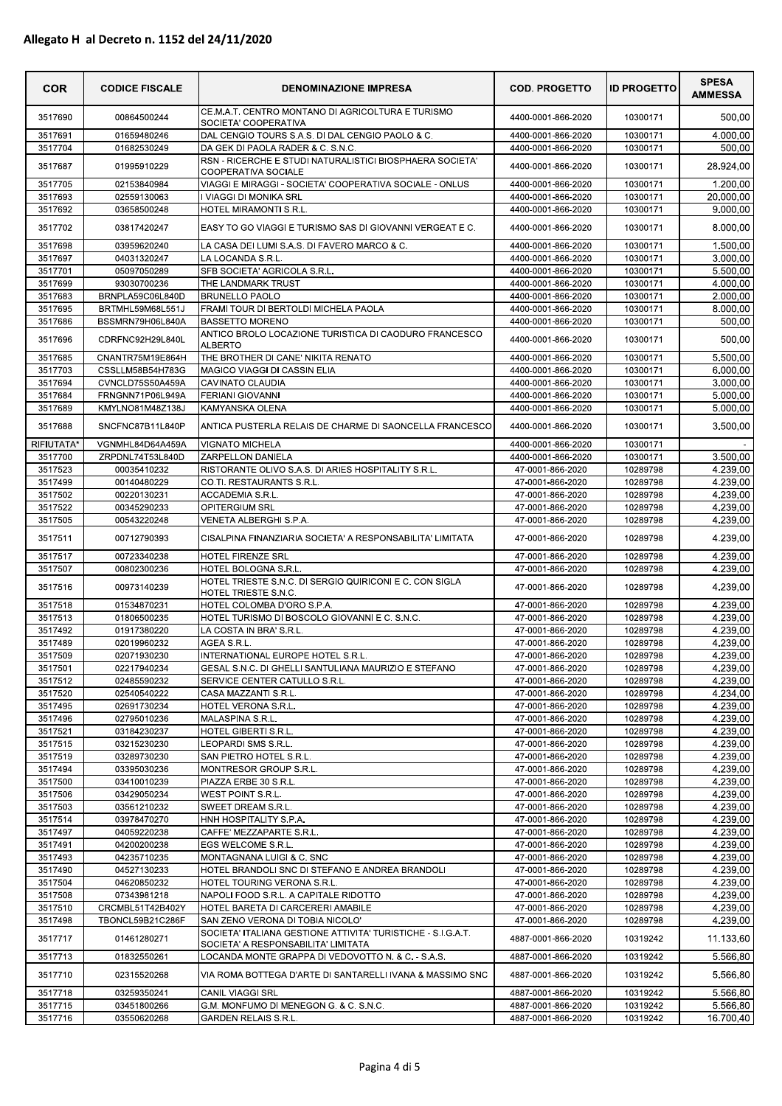| <b>COR</b>         | <b>CODICE FISCALE</b>                | <b>DENOMINAZIONE IMPRESA</b>                                                              | <b>COD. PROGETTO</b>                     | <b>ID PROGETTO</b>   | <b>SPESA</b><br><b>AMMESSA</b> |
|--------------------|--------------------------------------|-------------------------------------------------------------------------------------------|------------------------------------------|----------------------|--------------------------------|
| 3517690            | 00864500244                          | CE.M.A.T. CENTRO MONTANO DI AGRICOLTURA E TURISMO<br>SOCIETA' COOPERATIVA                 | 4400-0001-866-2020                       | 10300171             | 500,00                         |
| 3517691            | 01659480246                          | DAL CENGIO TOURS S.A.S. DI DAL CENGIO PAOLO & C.                                          | 4400-0001-866-2020                       | 10300171             | 4.000,00                       |
| 3517704            | 01682530249                          | DA GEK DI PAOLA RADER & C. S.N.C.                                                         | 4400-0001-866-2020                       | 10300171             | 500,00                         |
| 3517687            | 01995910229                          | RSN - RICERCHE E STUDI NATURALISTICI BIOSPHAERA SOCIETA'<br>COOPERATIVA SOCIALE           | 4400-0001-866-2020                       | 10300171             | 28.924,00                      |
| 3517705            | 02153840984                          | VIAGGI E MIRAGGI - SOCIETA' COOPERATIVA SOCIALE - ONLUS                                   | 4400-0001-866-2020                       | 10300171             | 1.200,00                       |
| 3517693            | 02559130063                          | <b>VIAGGI DI MONIKA SRL</b>                                                               | 4400-0001-866-2020                       | 10300171             | 20.000,00                      |
| 3517692            | 03658500248                          | HOTEL MIRAMONTI S.R.L.                                                                    | 4400-0001-866-2020                       | 10300171             | 9.000,00                       |
| 3517702            | 03817420247                          | EASY TO GO VIAGGI E TURISMO SAS DI GIOVANNI VERGEAT E C.                                  | 4400-0001-866-2020                       | 10300171             | 8.000,00                       |
| 3517698<br>3517697 | 03959620240<br>04031320247           | LA CASA DEI LUMI S.A.S. DI FAVERO MARCO & C.<br>LA LOCANDA S.R.L                          | 4400-0001-866-2020<br>4400-0001-866-2020 | 10300171<br>10300171 | 1.500,00<br>3.000,00           |
| 3517701            | 05097050289                          | SFB SOCIETA' AGRICOLA S.R.L.                                                              | 4400-0001-866-2020                       | 10300171             | 5.500,00                       |
| 3517699            | 93030700236                          | THE LANDMARK TRUST                                                                        | 4400-0001-866-2020                       | 10300171             | 4.000,00                       |
| 3517683            | BRNPLA59C06L840D                     | <b>BRUNELLO PAOLO</b>                                                                     | 4400-0001-866-2020                       | 10300171             | 2.000,00                       |
| 3517695            | BRTMHL59M68L551J                     | FRAMI TOUR DI BERTOLDI MICHELA PAOLA                                                      | 4400-0001-866-2020                       | 10300171             | 8.000,00                       |
| 3517686<br>3517696 | BSSMRN79H06L840A<br>CDRFNC92H29L840L | <b>BASSETTO MORENO</b><br>ANTICO BROLO LOCAZIONE TURISTICA DI CAODURO FRANCESCO           | 4400-0001-866-2020<br>4400-0001-866-2020 | 10300171<br>10300171 | 500,00<br>500,00               |
|                    |                                      | <b>ALBERTO</b>                                                                            |                                          |                      |                                |
| 3517685<br>3517703 | CNANTR75M19E864H<br>CSSLLM58B54H783G | THE BROTHER DI CANE' NIKITA RENATO<br><b>MAGICO VIAGGI DI CASSIN ELIA</b>                 | 4400-0001-866-2020<br>4400-0001-866-2020 | 10300171<br>10300171 | 5.500,00<br>6.000,00           |
| 3517694            | CVNCLD75S50A459A                     | CAVINATO CLAUDIA                                                                          | 4400-0001-866-2020                       | 10300171             | 3.000,00                       |
| 3517684            | FRNGNN71P06L949A                     | <b>FERIANI GIOVANNI</b>                                                                   | 4400-0001-866-2020                       | 10300171             | 5.000,00                       |
| 3517689            | KMYLNO81M48Z138J                     | KAMYANSKA OLENA                                                                           | 4400-0001-866-2020                       | 10300171             | 5.000,00                       |
| 3517688            | SNCFNC87B11L840P                     | ANTICA PUSTERLA RELAIS DE CHARME DI SAONCELLA FRANCESCO                                   | 4400-0001-866-2020                       | 10300171             | 3.500,00                       |
| RIFIUTATA*         | VGNMHL84D64A459A                     | <b>VIGNATO MICHELA</b>                                                                    | 4400-0001-866-2020                       | 10300171             |                                |
| 3517700            | ZRPDNL74T53L840D                     | ZARPELLON DANIELA                                                                         | 4400-0001-866-2020                       | 10300171             | 3.500,00                       |
| 3517523<br>3517499 | 00035410232<br>00140480229           | RISTORANTE OLIVO S.A.S. DI ARIES HOSPITALITY S.R.L.<br>CO.TI. RESTAURANTS S.R.L.          | 47-0001-866-2020<br>47-0001-866-2020     | 10289798<br>10289798 | 4.239,00<br>4.239,00           |
| 3517502            | 00220130231                          | ACCADEMIA S.R.L.                                                                          | 47-0001-866-2020                         | 10289798             | 4.239,00                       |
| 3517522            | 00345290233                          | <b>OPITERGIUM SRL</b>                                                                     | 47-0001-866-2020                         | 10289798             | 4.239,00                       |
| 3517505            | 00543220248                          | VENETA ALBERGHI S.P.A.                                                                    | 47-0001-866-2020                         | 10289798             | 4.239,00                       |
| 3517511            | 00712790393                          | CISALPINA FINANZIARIA SOCIETA' A RESPONSABILITA' LIMITATA                                 | 47-0001-866-2020                         | 10289798             | 4.239,00                       |
| 3517517<br>3517507 | 00723340238<br>00802300236           | HOTEL FIRENZE SRL<br>HOTEL BOLOGNA S.R.L.                                                 | 47-0001-866-2020<br>47-0001-866-2020     | 10289798<br>10289798 | 4.239,00<br>4.239,00           |
| 3517516            | 00973140239                          | HOTEL TRIESTE S.N.C. DI SERGIO QUIRICONI E C. CON SIGLA<br>HOTEL TRIESTE S.N.C.           | 47-0001-866-2020                         | 10289798             | 4.239,00                       |
| 3517518            | 01534870231                          | HOTEL COLOMBA D'ORO S.P.A.                                                                | 47-0001-866-2020                         | 10289798             | 4.239,00                       |
| 3517513            | 01806500235                          | HOTEL TURISMO DI BOSCOLO GIOVANNI E C. S.N.C.                                             | 47-0001-866-2020                         | 10289798             | 4.239.00                       |
| 3517492            | 01917380220                          | LA COSTA IN BRA' S.R.L.                                                                   | 47-0001-866-2020                         | 10289798             | 4.239,00                       |
| 3517489            | 02019960232                          | AGEA S.R.L.                                                                               | 47-0001-866-2020                         | 10289798             | 4.239,00                       |
| 3517509<br>3517501 | 02071930230<br>02217940234           | INTERNATIONAL EUROPE HOTEL S.R.L.<br>GESAL S.N.C. DI GHELLI SANTULIANA MAURIZIO E STEFANO | 47-0001-866-2020<br>47-0001-866-2020     | 10289798<br>10289798 | 4.239,00<br>4.239,00           |
| 3517512            | 02485590232                          | SERVICE CENTER CATULLO S.R.L.                                                             | 47-0001-866-2020                         | 10289798             | 4.239,00                       |
| 3517520            | 02540540222                          | CASA MAZZANTI S.R.L.                                                                      | 47-0001-866-2020                         | 10289798             | 4.234,00                       |
| 3517495            | 02691730234                          | HOTEL VERONA S.R.L.                                                                       | 47-0001-866-2020                         | 10289798             | 4.239,00                       |
| 3517496            | 02795010236                          | MALASPINA S.R.L.                                                                          | 47-0001-866-2020                         | 10289798             | 4.239,00                       |
| 3517521            | 03184230237                          | HOTEL GIBERTI S.R.L.                                                                      | 47-0001-866-2020                         | 10289798<br>10289798 | 4.239,00<br>4.239,00           |
| 3517515<br>3517519 | 03215230230<br>03289730230           | LEOPARDI SMS S.R.L.<br>SAN PIETRO HOTEL S.R.L.                                            | 47-0001-866-2020<br>47-0001-866-2020     | 10289798             | 4.239,00                       |
| 3517494            | 03395030236                          | MONTRESOR GROUP S.R.L.                                                                    | 47-0001-866-2020                         | 10289798             | 4.239,00                       |
| 3517500            | 03410010239                          | PIAZZA ERBE 30 S.R.L.                                                                     | 47-0001-866-2020                         | 10289798             | 4.239,00                       |
| 3517506            | 03429050234                          | WEST POINT S.R.L.                                                                         | 47-0001-866-2020                         | 10289798             | 4.239,00                       |
| 3517503            | 03561210232                          | SWEET DREAM S.R.L.                                                                        | 47-0001-866-2020                         | 10289798             | 4.239,00                       |
| 3517514            | 03978470270                          | HNH HOSPITALITY S.P.A.                                                                    | 47-0001-866-2020                         | 10289798             | 4.239,00                       |
| 3517497<br>3517491 | 04059220238<br>04200200238           | CAFFE' MEZZAPARTE S.R.L.<br>EGS WELCOME S.R.L.                                            | 47-0001-866-2020<br>47-0001-866-2020     | 10289798<br>10289798 | 4.239,00<br>4.239,00           |
| 3517493            | 04235710235                          | MONTAGNANA LUIGI & C. SNC                                                                 | 47-0001-866-2020                         | 10289798             | 4.239,00                       |
| 3517490            | 04527130233                          | HOTEL BRANDOLI SNC DI STEFANO E ANDREA BRANDOLI                                           | 47-0001-866-2020                         | 10289798             | 4.239,00                       |
| 3517504            | 04620850232                          | HOTEL TOURING VERONA S.R.L.                                                               | 47-0001-866-2020                         | 10289798             | 4.239,00                       |
| 3517508            | 07343981218                          | NAPOLI FOOD S.R.L. A CAPITALE RIDOTTO                                                     | 47-0001-866-2020                         | 10289798             | 4.239,00                       |
| 3517510<br>3517498 | CRCMBL51T42B402Y<br>TBONCL59B21C286F | HOTEL BARETA DI CARCERERI AMABILE<br>SAN ZENO VERONA DI TOBIA NICOLO'                     | 47-0001-866-2020<br>47-0001-866-2020     | 10289798<br>10289798 | 4.239,00<br>4.239,00           |
| 3517717            | 01461280271                          | SOCIETA' ITALIANA GESTIONE ATTIVITA' TURISTICHE - S.I.G.A.T.                              | 4887-0001-866-2020                       | 10319242             | 11.133,60                      |
| 3517713            | 01832550261                          | SOCIETA' A RESPONSABILITA' LIMITATA<br>LOCANDA MONTE GRAPPA DI VEDOVOTTO N. & C. - S.A.S. | 4887-0001-866-2020                       | 10319242             | 5.566,80                       |
| 3517710            | 02315520268                          | VIA ROMA BOTTEGA D'ARTE DI SANTARELLI IVANA & MASSIMO SNC                                 | 4887-0001-866-2020                       | 10319242             | 5.566,80                       |
| 3517718            | 03259350241                          | <b>CANIL VIAGGI SRL</b>                                                                   | 4887-0001-866-2020                       | 10319242             | 5.566,80                       |
| 3517715            | 03451800266                          | G.M. MONFUMO DI MENEGON G. & C. S.N.C.                                                    | 4887-0001-866-2020                       | 10319242             | 5.566,80                       |
| 3517716            | 03550620268                          | <b>GARDEN RELAIS S.R.L.</b>                                                               | 4887-0001-866-2020                       | 10319242             | 16.700,40                      |